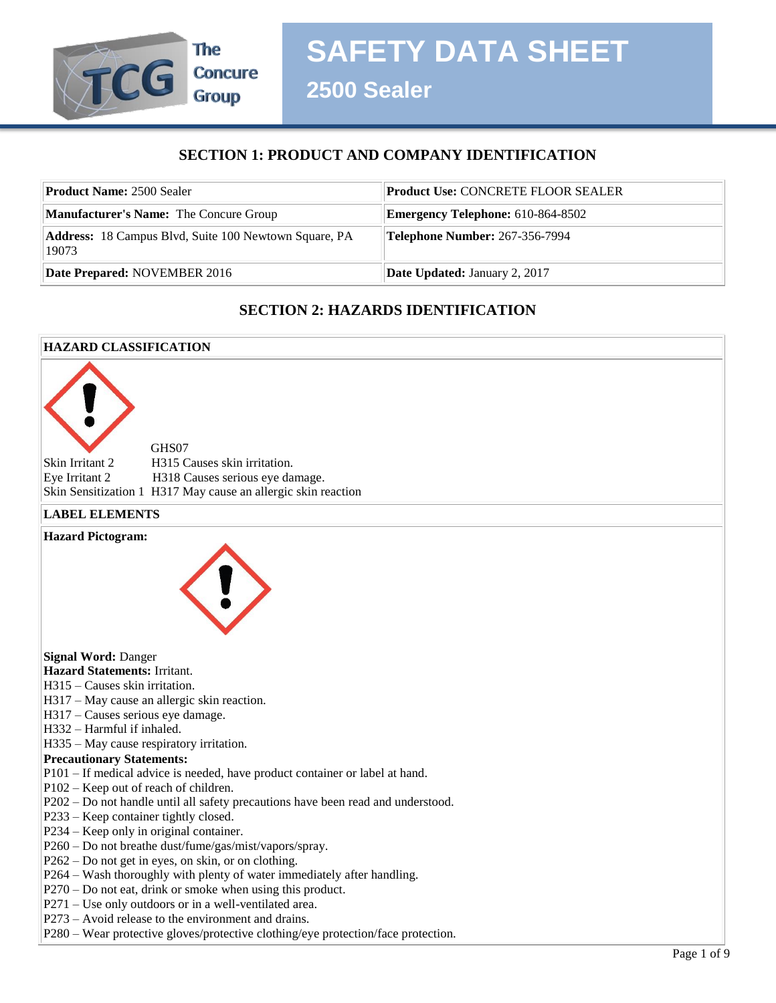

**2500 Sealer**

# **SECTION 1: PRODUCT AND COMPANY IDENTIFICATION**

| <b>Product Name: 2500 Sealer</b>                                      | <b>Product Use: CONCRETE FLOOR SEALER</b> |
|-----------------------------------------------------------------------|-------------------------------------------|
| <b>Manufacturer's Name:</b> The Concure Group                         | <b>Emergency Telephone:</b> 610-864-8502  |
| <b>Address:</b> 18 Campus Blvd, Suite 100 Newtown Square, PA<br>19073 | <b>Telephone Number: 267-356-7994</b>     |
| Date Prepared: NOVEMBER 2016                                          | <b>Date Updated: January 2, 2017</b>      |

# **SECTION 2: HAZARDS IDENTIFICATION**

# **HAZARD CLASSIFICATION** GHS07 Skin Irritant 2 H315 Causes skin irritation. Eye Irritant 2 H318 Causes serious eye damage. Skin Sensitization 1 H317 May cause an allergic skin reaction **LABEL ELEMENTS Hazard Pictogram: Signal Word:** Danger **Hazard Statements:** Irritant. H315 – Causes skin irritation. H317 – May cause an allergic skin reaction. H317 – Causes serious eye damage. H332 – Harmful if inhaled. H335 – May cause respiratory irritation. **Precautionary Statements:**  P101 – If medical advice is needed, have product container or label at hand. P102 – Keep out of reach of children. P202 – Do not handle until all safety precautions have been read and understood. P233 – Keep container tightly closed. P234 – Keep only in original container. P260 – Do not breathe dust/fume/gas/mist/vapors/spray. P262 – Do not get in eyes, on skin, or on clothing. P264 – Wash thoroughly with plenty of water immediately after handling. P270 – Do not eat, drink or smoke when using this product. P271 – Use only outdoors or in a well-ventilated area. P273 – Avoid release to the environment and drains. P280 – Wear protective gloves/protective clothing/eye protection/face protection.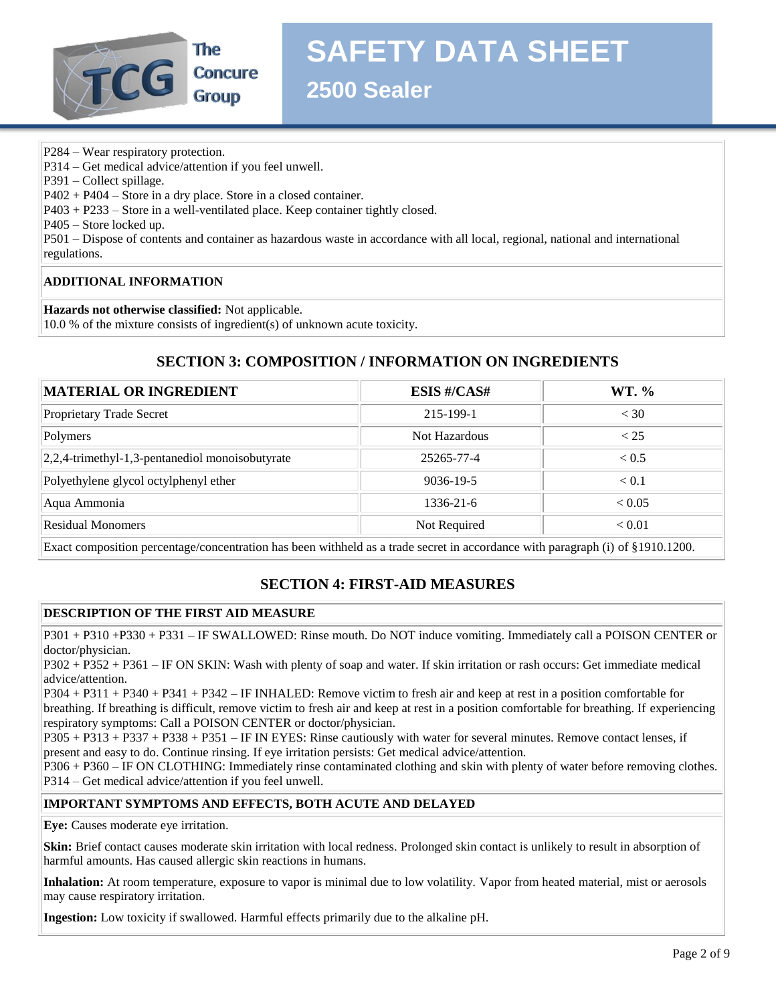

**SAFETY DATA SHEET**

**2500 Sealer**

- P284 Wear respiratory protection.
- P314 Get medical advice/attention if you feel unwell.
- P391 Collect spillage.
- P402 + P404 Store in a dry place. Store in a closed container.
- P403 + P233 Store in a well-ventilated place. Keep container tightly closed.

P405 – Store locked up.

P501 – Dispose of contents and container as hazardous waste in accordance with all local, regional, national and international regulations.

#### **ADDITIONAL INFORMATION**

**Hazards not otherwise classified:** Not applicable.

10.0 % of the mixture consists of ingredient(s) of unknown acute toxicity.

## **SECTION 3: COMPOSITION / INFORMATION ON INGREDIENTS**

| <b>MATERIAL OR INGREDIENT</b>                                                                                               | <b>ESIS #/CAS#</b> | WT. %        |  |
|-----------------------------------------------------------------------------------------------------------------------------|--------------------|--------------|--|
| Proprietary Trade Secret                                                                                                    | 215-199-1          | < 30         |  |
| Polymers                                                                                                                    | Not Hazardous      | < 25         |  |
| 2,2,4-trimethyl-1,3-pentanediol monoisobutyrate                                                                             | 25265-77-4         | ${}_{< 0.5}$ |  |
| Polyethylene glycol octylphenyl ether                                                                                       | $9036 - 19 - 5$    | < 0.1        |  |
| Aqua Ammonia                                                                                                                | $1336 - 21 - 6$    | < 0.05       |  |
| <b>Residual Monomers</b>                                                                                                    | Not Required       | < 0.01       |  |
| $\Box$ . The contraction of the contraction of the field of the field of the contraction of the contract (N = 0.94040.4000) |                    |              |  |

Exact composition percentage/concentration has been withheld as a trade secret in accordance with paragraph (i) of §1910.1200.

# **SECTION 4: FIRST-AID MEASURES**

## **DESCRIPTION OF THE FIRST AID MEASURE**

P301 + P310 +P330 + P331 – IF SWALLOWED: Rinse mouth. Do NOT induce vomiting. Immediately call a POISON CENTER or doctor/physician.

P302 + P352 + P361 – IF ON SKIN: Wash with plenty of soap and water. If skin irritation or rash occurs: Get immediate medical advice/attention.

P304 + P311 + P340 + P341 + P342 – IF INHALED: Remove victim to fresh air and keep at rest in a position comfortable for breathing. If breathing is difficult, remove victim to fresh air and keep at rest in a position comfortable for breathing. If experiencing respiratory symptoms: Call a POISON CENTER or doctor/physician.

P305 + P313 + P337 + P338 + P351 – IF IN EYES: Rinse cautiously with water for several minutes. Remove contact lenses, if present and easy to do. Continue rinsing. If eye irritation persists: Get medical advice/attention.

P306 + P360 – IF ON CLOTHING: Immediately rinse contaminated clothing and skin with plenty of water before removing clothes. P314 – Get medical advice/attention if you feel unwell.

#### **IMPORTANT SYMPTOMS AND EFFECTS, BOTH ACUTE AND DELAYED**

**Eye:** Causes moderate eye irritation.

**Skin:** Brief contact causes moderate skin irritation with local redness. Prolonged skin contact is unlikely to result in absorption of harmful amounts. Has caused allergic skin reactions in humans.

**Inhalation:** At room temperature, exposure to vapor is minimal due to low volatility. Vapor from heated material, mist or aerosols may cause respiratory irritation.

**Ingestion:** Low toxicity if swallowed. Harmful effects primarily due to the alkaline pH.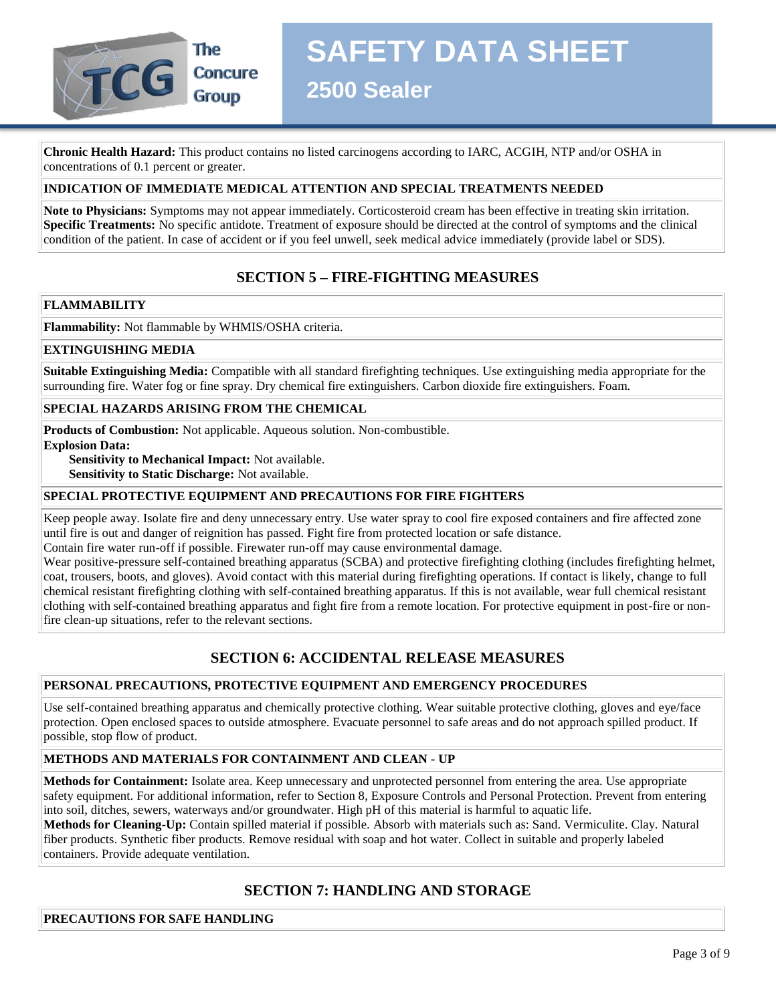

# **SAFETY DATA SHEET**

**2500 Sealer**

**Chronic Health Hazard:** This product contains no listed carcinogens according to IARC, ACGIH, NTP and/or OSHA in concentrations of 0.1 percent or greater.

## **INDICATION OF IMMEDIATE MEDICAL ATTENTION AND SPECIAL TREATMENTS NEEDED**

**Note to Physicians:** Symptoms may not appear immediately. Corticosteroid cream has been effective in treating skin irritation. **Specific Treatments:** No specific antidote. Treatment of exposure should be directed at the control of symptoms and the clinical condition of the patient. In case of accident or if you feel unwell, seek medical advice immediately (provide label or SDS).

## **SECTION 5 – FIRE-FIGHTING MEASURES**

#### **FLAMMABILITY**

**Flammability:** Not flammable by WHMIS/OSHA criteria.

#### **EXTINGUISHING MEDIA**

**Suitable Extinguishing Media:** Compatible with all standard firefighting techniques. Use extinguishing media appropriate for the surrounding fire. Water fog or fine spray. Dry chemical fire extinguishers. Carbon dioxide fire extinguishers. Foam.

#### **SPECIAL HAZARDS ARISING FROM THE CHEMICAL**

**Products of Combustion:** Not applicable. Aqueous solution. Non-combustible. **Explosion Data:** 

 **Sensitivity to Mechanical Impact:** Not available.

 **Sensitivity to Static Discharge:** Not available.

#### **SPECIAL PROTECTIVE EQUIPMENT AND PRECAUTIONS FOR FIRE FIGHTERS**

Keep people away. Isolate fire and deny unnecessary entry. Use water spray to cool fire exposed containers and fire affected zone until fire is out and danger of reignition has passed. Fight fire from protected location or safe distance.

Contain fire water run-off if possible. Firewater run-off may cause environmental damage.

Wear positive-pressure self-contained breathing apparatus (SCBA) and protective firefighting clothing (includes firefighting helmet, coat, trousers, boots, and gloves). Avoid contact with this material during firefighting operations. If contact is likely, change to full chemical resistant firefighting clothing with self-contained breathing apparatus. If this is not available, wear full chemical resistant clothing with self-contained breathing apparatus and fight fire from a remote location. For protective equipment in post-fire or nonfire clean-up situations, refer to the relevant sections.

# **SECTION 6: ACCIDENTAL RELEASE MEASURES**

#### **PERSONAL PRECAUTIONS, PROTECTIVE EQUIPMENT AND EMERGENCY PROCEDURES**

Use self-contained breathing apparatus and chemically protective clothing. Wear suitable protective clothing, gloves and eye/face protection. Open enclosed spaces to outside atmosphere. Evacuate personnel to safe areas and do not approach spilled product. If possible, stop flow of product.

#### **METHODS AND MATERIALS FOR CONTAINMENT AND CLEAN - UP**

**Methods for Containment:** Isolate area. Keep unnecessary and unprotected personnel from entering the area. Use appropriate safety equipment. For additional information, refer to Section 8, Exposure Controls and Personal Protection. Prevent from entering into soil, ditches, sewers, waterways and/or groundwater. High pH of this material is harmful to aquatic life.

**Methods for Cleaning-Up:** Contain spilled material if possible. Absorb with materials such as: Sand. Vermiculite. Clay. Natural fiber products. Synthetic fiber products. Remove residual with soap and hot water. Collect in suitable and properly labeled containers. Provide adequate ventilation.

## **SECTION 7: HANDLING AND STORAGE**

**PRECAUTIONS FOR SAFE HANDLING**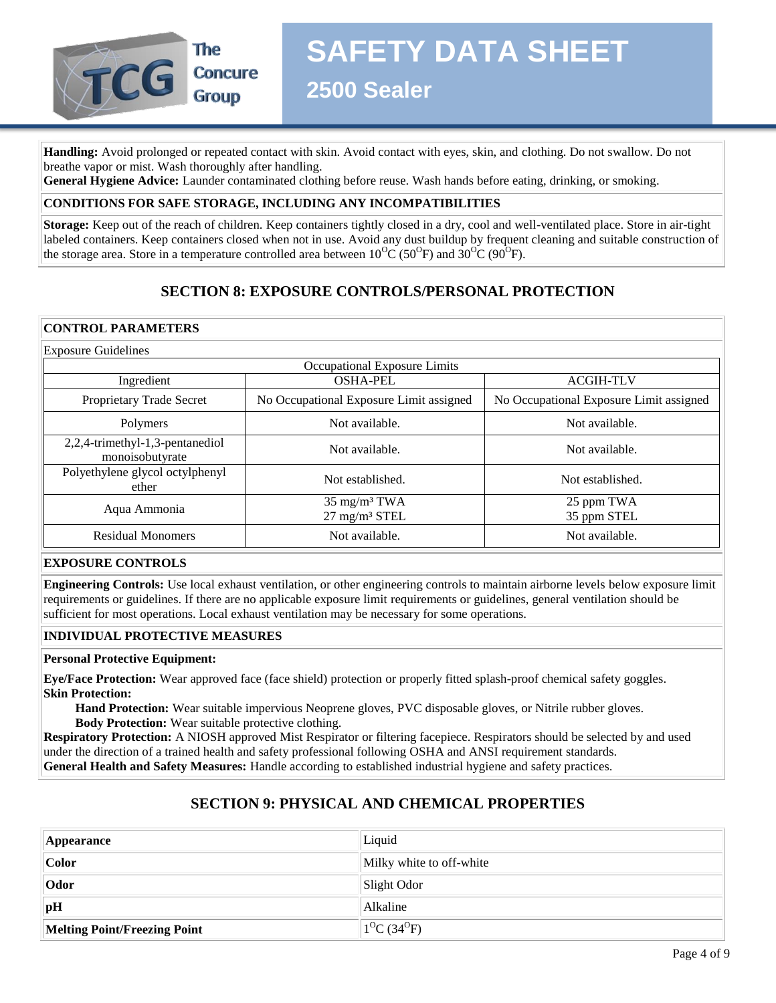

**SAFETY DATA SHEET**

**2500 Sealer**

**Handling:** Avoid prolonged or repeated contact with skin. Avoid contact with eyes, skin, and clothing. Do not swallow. Do not breathe vapor or mist. Wash thoroughly after handling.

**General Hygiene Advice:** Launder contaminated clothing before reuse. Wash hands before eating, drinking, or smoking.

#### **CONDITIONS FOR SAFE STORAGE, INCLUDING ANY INCOMPATIBILITIES**

**Storage:** Keep out of the reach of children. Keep containers tightly closed in a dry, cool and well-ventilated place. Store in air-tight labeled containers. Keep containers closed when not in use. Avoid any dust buildup by frequent cleaning and suitable construction of the storage area. Store in a temperature controlled area between  $10^{0}C(50^{0}F)$  and  $30^{0}C(90^{0}F)$ .

# **SECTION 8: EXPOSURE CONTROLS/PERSONAL PROTECTION**

#### **CONTROL PARAMETERS**

| <b>Exposure Guidelines</b>                         |                                                     |                                         |  |
|----------------------------------------------------|-----------------------------------------------------|-----------------------------------------|--|
|                                                    | Occupational Exposure Limits                        |                                         |  |
| Ingredient                                         | <b>OSHA-PEL</b>                                     | <b>ACGIH-TLV</b>                        |  |
| Proprietary Trade Secret                           | No Occupational Exposure Limit assigned             | No Occupational Exposure Limit assigned |  |
| Polymers                                           | Not available.                                      | Not available.                          |  |
| 2,2,4-trimethyl-1,3-pentanediol<br>monoisobutyrate | Not available.                                      | Not available.                          |  |
| Polyethylene glycol octylphenyl<br>ether           | Not established.                                    | Not established.                        |  |
| Aqua Ammonia                                       | $35 \text{ mg/m}^3$ TWA<br>$27 \text{ mg/m}^3$ STEL | 25 ppm TWA<br>35 ppm STEL               |  |
| <b>Residual Monomers</b>                           | Not available.                                      | Not available.                          |  |

#### **EXPOSURE CONTROLS**

**Engineering Controls:** Use local exhaust ventilation, or other engineering controls to maintain airborne levels below exposure limit requirements or guidelines. If there are no applicable exposure limit requirements or guidelines, general ventilation should be sufficient for most operations. Local exhaust ventilation may be necessary for some operations.

#### **INDIVIDUAL PROTECTIVE MEASURES**

#### **Personal Protective Equipment:**

**Eye/Face Protection:** Wear approved face (face shield) protection or properly fitted splash-proof chemical safety goggles. **Skin Protection:**

 **Hand Protection:** Wear suitable impervious Neoprene gloves, PVC disposable gloves, or Nitrile rubber gloves.  **Body Protection:** Wear suitable protective clothing.

**Respiratory Protection:** A NIOSH approved Mist Respirator or filtering facepiece. Respirators should be selected by and used under the direction of a trained health and safety professional following OSHA and ANSI requirement standards. **General Health and Safety Measures:** Handle according to established industrial hygiene and safety practices.

## **SECTION 9: PHYSICAL AND CHEMICAL PROPERTIES**

| <b>Appearance</b>            | Liquid                   |
|------------------------------|--------------------------|
| Color                        | Milky white to off-white |
| $ $ Odor                     | Slight Odor              |
| <sub>pH</sub>                | Alkaline                 |
| Melting Point/Freezing Point | $1^{0}C(34^{0}F)$        |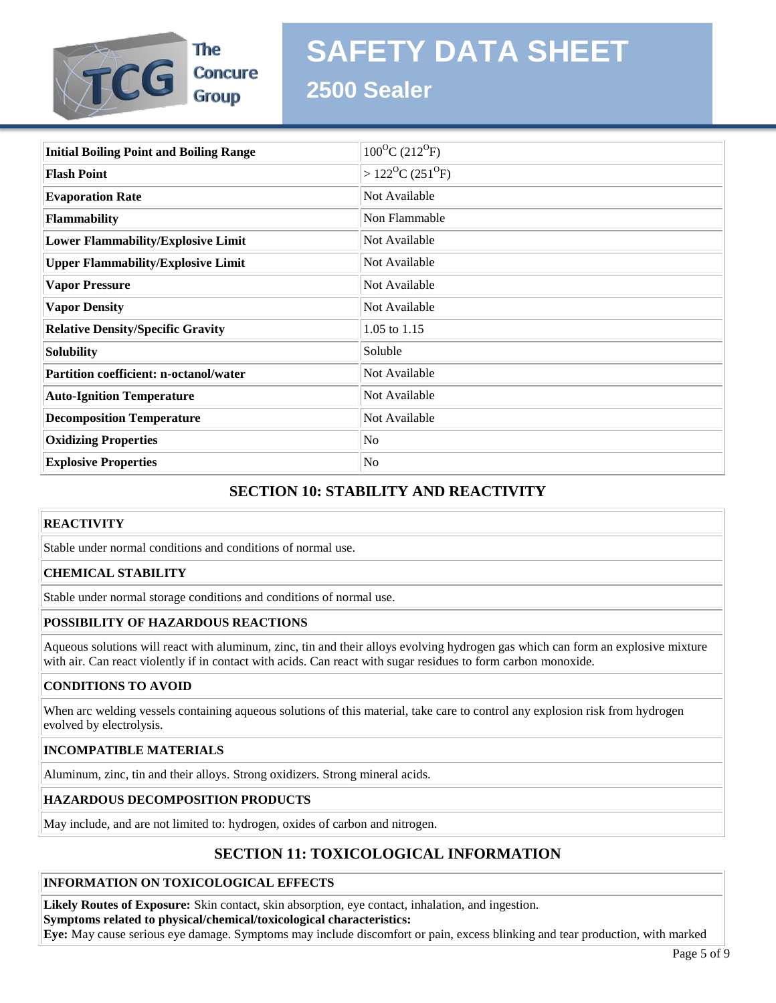

The **Group** 

# **SAFETY DATA SHEET**

# **2500 Sealer**

| <b>Initial Boiling Point and Boiling Range</b> | $100^{\circ}C(212^{\circ}F)$               |
|------------------------------------------------|--------------------------------------------|
| <b>Flash Point</b>                             | $>122$ <sup>O</sup> C (251 <sup>O</sup> F) |
| <b>Evaporation Rate</b>                        | Not Available                              |
| Flammability                                   | Non Flammable                              |
| <b>Lower Flammability/Explosive Limit</b>      | Not Available                              |
| <b>Upper Flammability/Explosive Limit</b>      | Not Available                              |
| <b>Vapor Pressure</b>                          | Not Available                              |
| <b>Vapor Density</b>                           | Not Available                              |
| <b>Relative Density/Specific Gravity</b>       | 1.05 to 1.15                               |
| <b>Solubility</b>                              | Soluble                                    |
| <b>Partition coefficient: n-octanol/water</b>  | Not Available                              |
| <b>Auto-Ignition Temperature</b>               | Not Available                              |
| <b>Decomposition Temperature</b>               | Not Available                              |
| <b>Oxidizing Properties</b>                    | No                                         |
| <b>Explosive Properties</b>                    | No                                         |

# **SECTION 10: STABILITY AND REACTIVITY**

## **REACTIVITY**

Stable under normal conditions and conditions of normal use.

## **CHEMICAL STABILITY**

Stable under normal storage conditions and conditions of normal use.

## **POSSIBILITY OF HAZARDOUS REACTIONS**

Aqueous solutions will react with aluminum, zinc, tin and their alloys evolving hydrogen gas which can form an explosive mixture with air. Can react violently if in contact with acids. Can react with sugar residues to form carbon monoxide.

## **CONDITIONS TO AVOID**

When arc welding vessels containing aqueous solutions of this material, take care to control any explosion risk from hydrogen evolved by electrolysis.

#### **INCOMPATIBLE MATERIALS**

Aluminum, zinc, tin and their alloys. Strong oxidizers. Strong mineral acids.

#### **HAZARDOUS DECOMPOSITION PRODUCTS**

May include, and are not limited to: hydrogen, oxides of carbon and nitrogen.

# **SECTION 11: TOXICOLOGICAL INFORMATION**

#### **INFORMATION ON TOXICOLOGICAL EFFECTS**

**Likely Routes of Exposure:** Skin contact, skin absorption, eye contact, inhalation, and ingestion. **Symptoms related to physical/chemical/toxicological characteristics:**

**Eye:** May cause serious eye damage. Symptoms may include discomfort or pain, excess blinking and tear production, with marked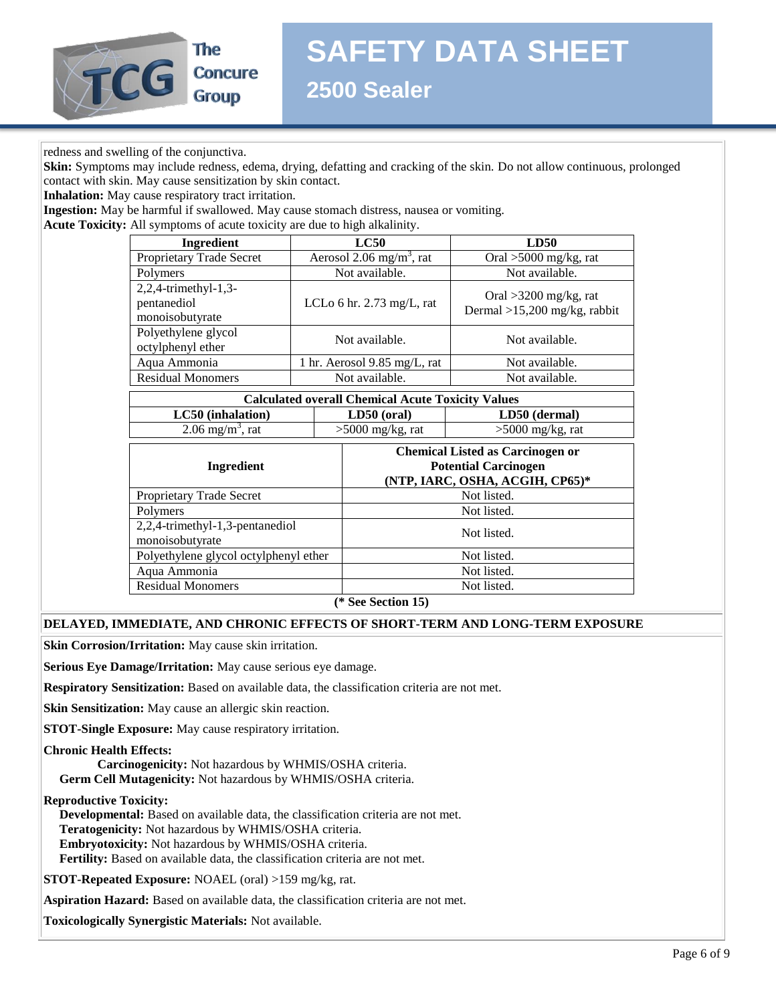

The **Concure Group** 

**2500 Sealer**

#### redness and swelling of the conjunctiva.

**Skin:** Symptoms may include redness, edema, drying, defatting and cracking of the skin. Do not allow continuous, prolonged contact with skin. May cause sensitization by skin contact.

**Inhalation:** May cause respiratory tract irritation.

**Ingestion:** May be harmful if swallowed. May cause stomach distress, nausea or vomiting.

**Acute Toxicity:** All symptoms of acute toxicity are due to high alkalinity.

| <b>Ingredient</b>                                      | LC50                                    | <b>LD50</b>                                               |  |
|--------------------------------------------------------|-----------------------------------------|-----------------------------------------------------------|--|
| Proprietary Trade Secret                               | Aerosol 2.06 mg/m <sup>3</sup> , rat    | Oral $>5000$ mg/kg, rat                                   |  |
| Polymers                                               | Not available.                          | Not available.                                            |  |
| 2,2,4-trimethyl-1,3-<br>pentanediol<br>monoisobutyrate | LCLo 6 hr. $2.73$ mg/L, rat             | Oral $>3200$ mg/kg, rat<br>Dermal $>15,200$ mg/kg, rabbit |  |
| Polyethylene glycol<br>octylphenyl ether               | Not available.                          | Not available.                                            |  |
| Aqua Ammonia                                           | 1 hr. Aerosol $9.85 \text{ mg/L}$ , rat | Not available.                                            |  |
| <b>Residual Monomers</b>                               | Not available.                          | Not available.                                            |  |
|                                                        |                                         |                                                           |  |

| <b>Calculated overall Chemical Acute Toxicity Values</b> |                    |                    |  |
|----------------------------------------------------------|--------------------|--------------------|--|
| LC50 (inhalation)<br>LD50 (dermal)<br>$LD50$ (oral)      |                    |                    |  |
| $2.06$ mg/m <sup>3</sup> , rat                           | $>5000$ mg/kg, rat | $>5000$ mg/kg, rat |  |

| Ingredient                                         | <b>Chemical Listed as Carcinogen or</b><br><b>Potential Carcinogen</b><br>(NTP, IARC, OSHA, ACGIH, CP65)* |  |
|----------------------------------------------------|-----------------------------------------------------------------------------------------------------------|--|
| Proprietary Trade Secret                           | Not listed.                                                                                               |  |
| Polymers                                           | Not listed.                                                                                               |  |
| 2,2,4-trimethyl-1,3-pentanediol<br>monoisobutyrate | Not listed.                                                                                               |  |
| Polyethylene glycol octylphenyl ether              | Not listed.                                                                                               |  |
| Aqua Ammonia                                       | Not listed.                                                                                               |  |
| <b>Residual Monomers</b>                           | Not listed.                                                                                               |  |
| $(4.0 \t C \t A \t B)$                             |                                                                                                           |  |

**(\* See Section 15)**

#### **DELAYED, IMMEDIATE, AND CHRONIC EFFECTS OF SHORT-TERM AND LONG-TERM EXPOSURE**

**Skin Corrosion/Irritation:** May cause skin irritation.

**Serious Eye Damage/Irritation:** May cause serious eye damage.

**Respiratory Sensitization:** Based on available data, the classification criteria are not met.

**Skin Sensitization:** May cause an allergic skin reaction.

**STOT-Single Exposure:** May cause respiratory irritation.

#### **Chronic Health Effects:**

 **Carcinogenicity:** Not hazardous by WHMIS/OSHA criteria.  **Germ Cell Mutagenicity:** Not hazardous by WHMIS/OSHA criteria.

**Reproductive Toxicity:**

 **Developmental:** Based on available data, the classification criteria are not met.  **Teratogenicity:** Not hazardous by WHMIS/OSHA criteria.  **Embryotoxicity:** Not hazardous by WHMIS/OSHA criteria.  **Fertility:** Based on available data, the classification criteria are not met.

**STOT-Repeated Exposure:** NOAEL (oral) >159 mg/kg, rat.

**Aspiration Hazard:** Based on available data, the classification criteria are not met.

**Toxicologically Synergistic Materials:** Not available.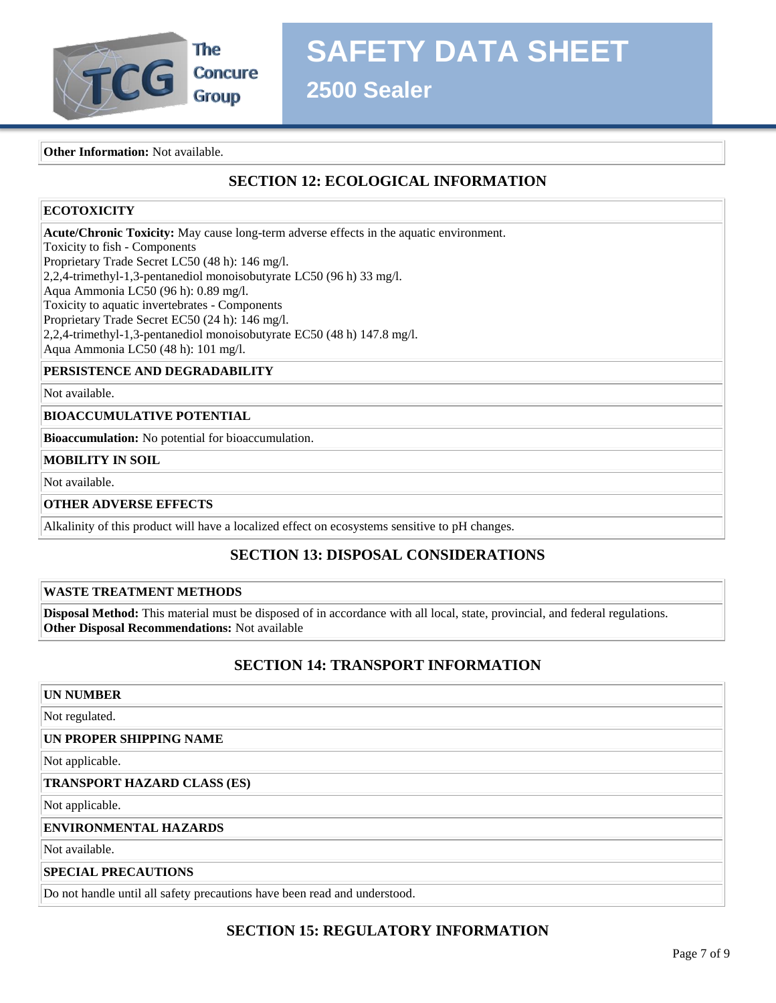

**2500 Sealer**

**Other Information:** Not available.

# **SECTION 12: ECOLOGICAL INFORMATION**

## **ECOTOXICITY**

**Acute/Chronic Toxicity:** May cause long-term adverse effects in the aquatic environment. Toxicity to fish - Components Proprietary Trade Secret LC50 (48 h): 146 mg/l. 2,2,4-trimethyl-1,3-pentanediol monoisobutyrate LC50 (96 h) 33 mg/l. Aqua Ammonia LC50 (96 h): 0.89 mg/l. Toxicity to aquatic invertebrates - Components Proprietary Trade Secret EC50 (24 h): 146 mg/l. 2,2,4-trimethyl-1,3-pentanediol monoisobutyrate EC50 (48 h) 147.8 mg/l. Aqua Ammonia LC50 (48 h): 101 mg/l.

## **PERSISTENCE AND DEGRADABILITY**

Not available.

#### **BIOACCUMULATIVE POTENTIAL**

**Bioaccumulation:** No potential for bioaccumulation.

## **MOBILITY IN SOIL**

Not available.

#### **OTHER ADVERSE EFFECTS**

Alkalinity of this product will have a localized effect on ecosystems sensitive to pH changes.

# **SECTION 13: DISPOSAL CONSIDERATIONS**

#### **WASTE TREATMENT METHODS**

**Disposal Method:** This material must be disposed of in accordance with all local, state, provincial, and federal regulations. **Other Disposal Recommendations:** Not available

## **SECTION 14: TRANSPORT INFORMATION**

#### **UN NUMBER**

Not regulated.

#### **UN PROPER SHIPPING NAME**

Not applicable.

#### **TRANSPORT HAZARD CLASS (ES)**

Not applicable.

#### **ENVIRONMENTAL HAZARDS**

Not available.

#### **SPECIAL PRECAUTIONS**

Do not handle until all safety precautions have been read and understood.

# **SECTION 15: REGULATORY INFORMATION**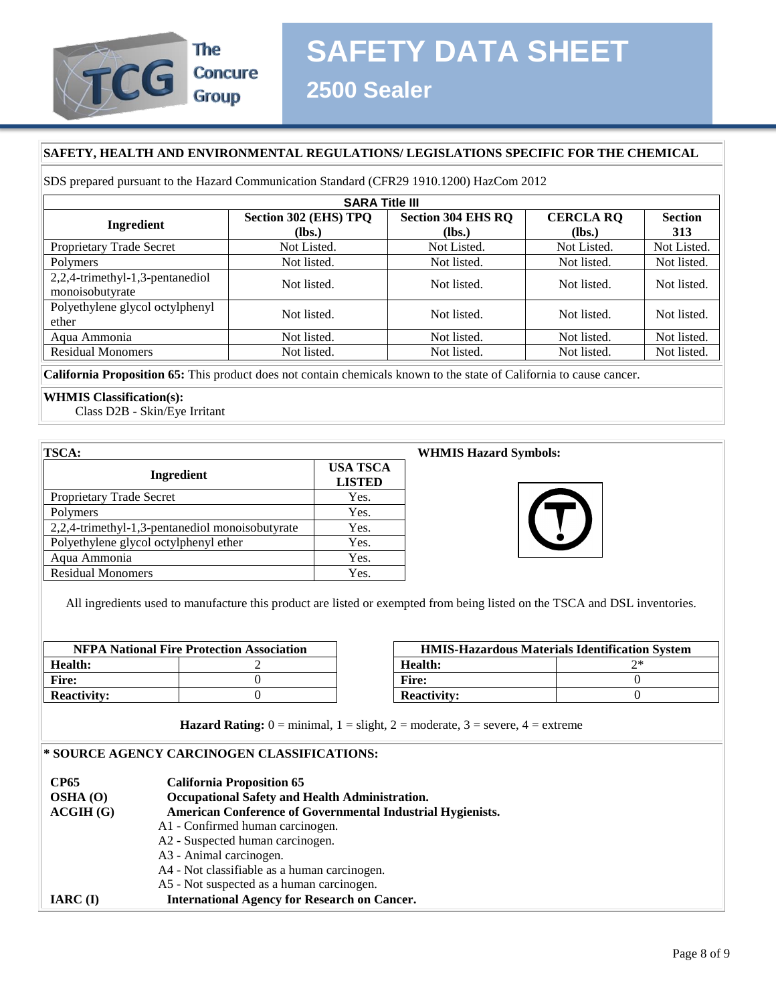

#### **SAFETY, HEALTH AND ENVIRONMENTAL REGULATIONS/ LEGISLATIONS SPECIFIC FOR THE CHEMICAL**

SDS prepared pursuant to the Hazard Communication Standard (CFR29 1910.1200) HazCom 2012

| <b>SARA Title III</b>           |                                                    |             |                  |                |  |
|---------------------------------|----------------------------------------------------|-------------|------------------|----------------|--|
| Ingredient                      | <b>Section 304 EHS RQ</b><br>Section 302 (EHS) TPQ |             | <b>CERCLA RO</b> | <b>Section</b> |  |
|                                 | (Ibs.)                                             | $(lbs.)$    | (Ibs.)           | 313            |  |
| Proprietary Trade Secret        | Not Listed.                                        | Not Listed. | Not Listed.      | Not Listed.    |  |
| Polymers                        | Not listed.                                        | Not listed. | Not listed.      | Not listed.    |  |
| 2,2,4-trimethyl-1,3-pentanediol | Not listed.                                        | Not listed. | Not listed.      | Not listed.    |  |
| monoisobutyrate                 |                                                    |             |                  |                |  |
| Polyethylene glycol octylphenyl | Not listed.                                        | Not listed. | Not listed.      | Not listed.    |  |
| ether                           |                                                    |             |                  |                |  |
| Aqua Ammonia                    | Not listed.                                        | Not listed. | Not listed.      | Not listed.    |  |
| <b>Residual Monomers</b>        | Not listed.                                        | Not listed. | Not listed.      | Not listed.    |  |

**California Proposition 65:** This product does not contain chemicals known to the state of California to cause cancer.

#### **WHMIS Classification(s):**

Class D2B - Skin/Eye Irritant

| <b>TSCA:</b>                                    |                                  |
|-------------------------------------------------|----------------------------------|
| Ingredient                                      | <b>USA TSCA</b><br><b>LISTED</b> |
| Proprietary Trade Secret                        | Yes.                             |
| Polymers                                        | Yes.                             |
| 2,2,4-trimethyl-1,3-pentanediol monoisobutyrate | Yes.                             |
| Polyethylene glycol octylphenyl ether           | Yes.                             |
| Aqua Ammonia                                    | Yes.                             |
| <b>Residual Monomers</b>                        | Yes.                             |

#### **WHMIS Hazard Symbols:**



All ingredients used to manufacture this product are listed or exempted from being listed on the TSCA and DSL inventories.

| <b>NFPA National Fire Protection Association</b> |  | <b>HMIS-Hazardous Materials Identificatio</b> |    |
|--------------------------------------------------|--|-----------------------------------------------|----|
| Health:                                          |  | Health:                                       | つ* |
| Fire:                                            |  | Fire:                                         |    |
| <b>Reactivity:</b>                               |  | <b>Reactivity:</b>                            |    |

| <b>NFPA National Fire Protection Association</b> |  |                    | <b>HMIS-Hazardous Materials Identification System</b> |  |
|--------------------------------------------------|--|--------------------|-------------------------------------------------------|--|
| lth:                                             |  | Health:            |                                                       |  |
|                                                  |  | <b>Fire:</b>       |                                                       |  |
| ctivitv:                                         |  | <b>Reactivity:</b> |                                                       |  |

**Hazard Rating:**  $0 = \text{minimal}$ ,  $1 = \text{slight}$ ,  $2 = \text{moderate}$ ,  $3 = \text{severe}$ ,  $4 = \text{extreme}$ 

### **\* SOURCE AGENCY CARCINOGEN CLASSIFICATIONS:**

| <b>CP65</b> | <b>California Proposition 65</b>                                  |  |
|-------------|-------------------------------------------------------------------|--|
| OSHA(0)     | Occupational Safety and Health Administration.                    |  |
| ACGIH(G)    | <b>American Conference of Governmental Industrial Hygienists.</b> |  |
|             | A1 - Confirmed human carcinogen.                                  |  |
|             | A2 - Suspected human carcinogen.                                  |  |
|             | A3 - Animal carcinogen.                                           |  |
|             | A4 - Not classifiable as a human carcinogen.                      |  |
|             | A5 - Not suspected as a human carcinogen.                         |  |
| $IARC$ (I)  | <b>International Agency for Research on Cancer.</b>               |  |